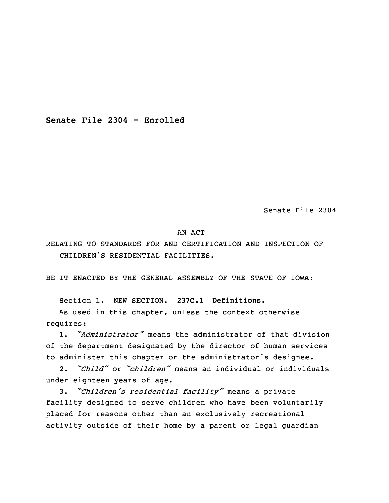**Senate File 2304 - Enrolled**

Senate File 2304

## AN ACT

RELATING TO STANDARDS FOR AND CERTIFICATION AND INSPECTION OF CHILDREN'S RESIDENTIAL FACILITIES.

BE IT ENACTED BY THE GENERAL ASSEMBLY OF THE STATE OF IOWA:

Section 1. NEW SECTION. **237C.1 Definitions.**

As used in this chapter, unless the context otherwise requires:

1. *"Administrator"* means the administrator of that division of the department designated by the director of human services to administer this chapter or the administrator's designee.

2. *"Child"* or *"children"* means an individual or individuals under eighteen years of age.

3. *"Children's residential facility"* means <sup>a</sup> private facility designed to serve children who have been voluntarily placed for reasons other than an exclusively recreational activity outside of their home by <sup>a</sup> parent or legal guardian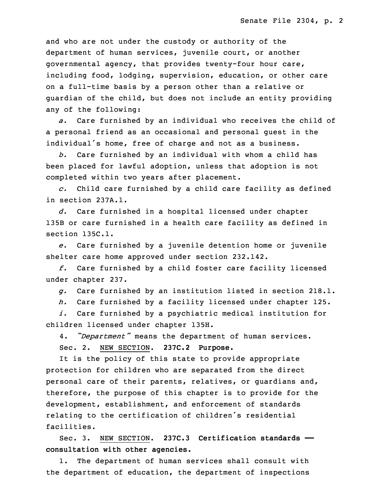and who are not under the custody or authority of the department of human services, juvenile court, or another governmental agency, that provides twenty-four hour care, including food, lodging, supervision, education, or other care on <sup>a</sup> full-time basis by <sup>a</sup> person other than <sup>a</sup> relative or guardian of the child, but does not include an entity providing any of the following:

*a.* Care furnished by an individual who receives the child of <sup>a</sup> personal friend as an occasional and personal guest in the individual's home, free of charge and not as <sup>a</sup> business.

*b.* Care furnished by an individual with whom <sup>a</sup> child has been placed for lawful adoption, unless that adoption is not completed within two years after placement.

*c.* Child care furnished by <sup>a</sup> child care facility as defined in section 237A.1.

*d.* Care furnished in <sup>a</sup> hospital licensed under chapter 135B or care furnished in <sup>a</sup> health care facility as defined in section 135C.1.

*e.* Care furnished by <sup>a</sup> juvenile detention home or juvenile shelter care home approved under section 232.142.

*f.* Care furnished by <sup>a</sup> child foster care facility licensed under chapter 237.

*g.* Care furnished by an institution listed in section 218.1.

*h.* Care furnished by <sup>a</sup> facility licensed under chapter 125.

*i.* Care furnished by <sup>a</sup> psychiatric medical institution for children licensed under chapter 135H.

4. *"Department"* means the department of human services. Sec. 2. NEW SECTION. **237C.2 Purpose.**

It is the policy of this state to provide appropriate protection for children who are separated from the direct personal care of their parents, relatives, or guardians and, therefore, the purpose of this chapter is to provide for the development, establishment, and enforcement of standards relating to the certification of children's residential facilities.

Sec. 3. NEW SECTION. **237C.3 Certification standards — consultation with other agencies.**

1. The department of human services shall consult with the department of education, the department of inspections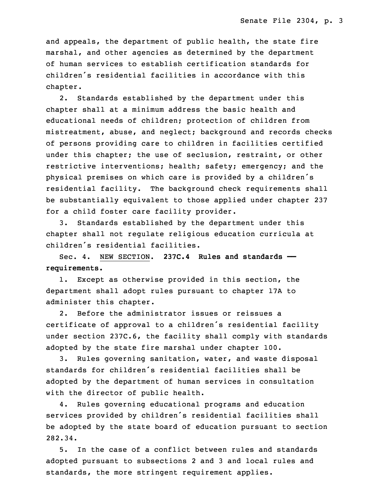and appeals, the department of public health, the state fire marshal, and other agencies as determined by the department of human services to establish certification standards for children's residential facilities in accordance with this chapter.

2. Standards established by the department under this chapter shall at <sup>a</sup> minimum address the basic health and educational needs of children; protection of children from mistreatment, abuse, and neglect; background and records checks of persons providing care to children in facilities certified under this chapter; the use of seclusion, restraint, or other restrictive interventions; health; safety; emergency; and the physical premises on which care is provided by <sup>a</sup> children's residential facility. The background check requirements shall be substantially equivalent to those applied under chapter 237 for <sup>a</sup> child foster care facility provider.

3. Standards established by the department under this chapter shall not regulate religious education curricula at children's residential facilities.

Sec. 4. NEW SECTION. **237C.4 Rules and standards — requirements.**

1. Except as otherwise provided in this section, the department shall adopt rules pursuant to chapter 17A to administer this chapter.

2. Before the administrator issues or reissues <sup>a</sup> certificate of approval to <sup>a</sup> children's residential facility under section 237C.6, the facility shall comply with standards adopted by the state fire marshal under chapter 100.

3. Rules governing sanitation, water, and waste disposal standards for children's residential facilities shall be adopted by the department of human services in consultation with the director of public health.

4. Rules governing educational programs and education services provided by children's residential facilities shall be adopted by the state board of education pursuant to section 282.34.

5. In the case of <sup>a</sup> conflict between rules and standards adopted pursuant to subsections 2 and 3 and local rules and standards, the more stringent requirement applies.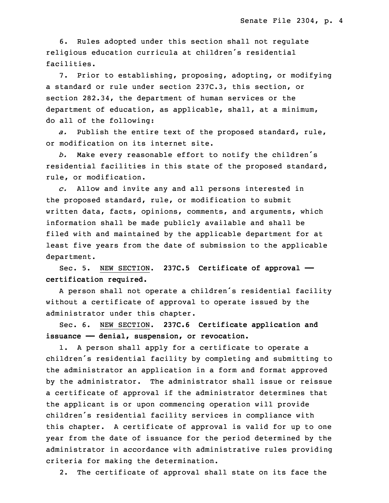6. Rules adopted under this section shall not regulate religious education curricula at children's residential facilities.

7. Prior to establishing, proposing, adopting, or modifying <sup>a</sup> standard or rule under section 237C.3, this section, or section 282.34, the department of human services or the department of education, as applicable, shall, at <sup>a</sup> minimum, do all of the following:

*a.* Publish the entire text of the proposed standard, rule, or modification on its internet site.

*b.* Make every reasonable effort to notify the children's residential facilities in this state of the proposed standard, rule, or modification.

*c.* Allow and invite any and all persons interested in the proposed standard, rule, or modification to submit written data, facts, opinions, comments, and arguments, which information shall be made publicly available and shall be filed with and maintained by the applicable department for at least five years from the date of submission to the applicable department.

Sec. 5. NEW SECTION. **237C.5 Certificate of approval — certification required.**

<sup>A</sup> person shall not operate <sup>a</sup> children's residential facility without <sup>a</sup> certificate of approval to operate issued by the administrator under this chapter.

Sec. 6. NEW SECTION. **237C.6 Certificate application and issuance —— denial, suspension, or revocation.**

1. <sup>A</sup> person shall apply for <sup>a</sup> certificate to operate <sup>a</sup> children's residential facility by completing and submitting to the administrator an application in <sup>a</sup> form and format approved by the administrator. The administrator shall issue or reissue <sup>a</sup> certificate of approval if the administrator determines that the applicant is or upon commencing operation will provide children's residential facility services in compliance with this chapter. <sup>A</sup> certificate of approval is valid for up to one year from the date of issuance for the period determined by the administrator in accordance with administrative rules providing criteria for making the determination.

2. The certificate of approval shall state on its face the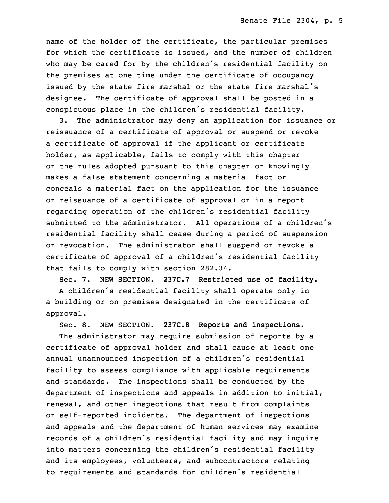name of the holder of the certificate, the particular premises for which the certificate is issued, and the number of children who may be cared for by the children's residential facility on the premises at one time under the certificate of occupancy issued by the state fire marshal or the state fire marshal's designee. The certificate of approval shall be posted in <sup>a</sup> conspicuous place in the children's residential facility.

3. The administrator may deny an application for issuance or reissuance of <sup>a</sup> certificate of approval or suspend or revoke <sup>a</sup> certificate of approval if the applicant or certificate holder, as applicable, fails to comply with this chapter or the rules adopted pursuant to this chapter or knowingly makes <sup>a</sup> false statement concerning <sup>a</sup> material fact or conceals <sup>a</sup> material fact on the application for the issuance or reissuance of <sup>a</sup> certificate of approval or in <sup>a</sup> report regarding operation of the children's residential facility submitted to the administrator. All operations of <sup>a</sup> children's residential facility shall cease during <sup>a</sup> period of suspension or revocation. The administrator shall suspend or revoke <sup>a</sup> certificate of approval of <sup>a</sup> children's residential facility that fails to comply with section 282.34.

Sec. 7. NEW SECTION. **237C.7 Restricted use of facility.**

<sup>A</sup> children's residential facility shall operate only in <sup>a</sup> building or on premises designated in the certificate of approval.

Sec. 8. NEW SECTION. **237C.8 Reports and inspections.**

The administrator may require submission of reports by <sup>a</sup> certificate of approval holder and shall cause at least one annual unannounced inspection of <sup>a</sup> children's residential facility to assess compliance with applicable requirements and standards. The inspections shall be conducted by the department of inspections and appeals in addition to initial, renewal, and other inspections that result from complaints or self-reported incidents. The department of inspections and appeals and the department of human services may examine records of <sup>a</sup> children's residential facility and may inquire into matters concerning the children's residential facility and its employees, volunteers, and subcontractors relating to requirements and standards for children's residential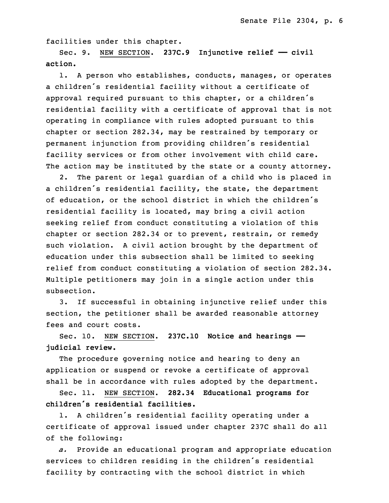facilities under this chapter.

Sec. 9. NEW SECTION. **237C.9 Injunctive relief —— civil action.**

1. <sup>A</sup> person who establishes, conducts, manages, or operates <sup>a</sup> children's residential facility without <sup>a</sup> certificate of approval required pursuant to this chapter, or <sup>a</sup> children's residential facility with <sup>a</sup> certificate of approval that is not operating in compliance with rules adopted pursuant to this chapter or section 282.34, may be restrained by temporary or permanent injunction from providing children's residential facility services or from other involvement with child care. The action may be instituted by the state or a county attorney.

2. The parent or legal guardian of <sup>a</sup> child who is placed in <sup>a</sup> children's residential facility, the state, the department of education, or the school district in which the children's residential facility is located, may bring <sup>a</sup> civil action seeking relief from conduct constituting <sup>a</sup> violation of this chapter or section 282.34 or to prevent, restrain, or remedy such violation. <sup>A</sup> civil action brought by the department of education under this subsection shall be limited to seeking relief from conduct constituting <sup>a</sup> violation of section 282.34. Multiple petitioners may join in <sup>a</sup> single action under this subsection.

3. If successful in obtaining injunctive relief under this section, the petitioner shall be awarded reasonable attorney fees and court costs.

Sec. 10. NEW SECTION. **237C.10 Notice and hearings — judicial review.**

The procedure governing notice and hearing to deny an application or suspend or revoke <sup>a</sup> certificate of approval shall be in accordance with rules adopted by the department.

Sec. 11. NEW SECTION. **282.34 Educational programs for children's residential facilities.**

1. <sup>A</sup> children's residential facility operating under <sup>a</sup> certificate of approval issued under chapter 237C shall do all of the following:

*a.* Provide an educational program and appropriate education services to children residing in the children's residential facility by contracting with the school district in which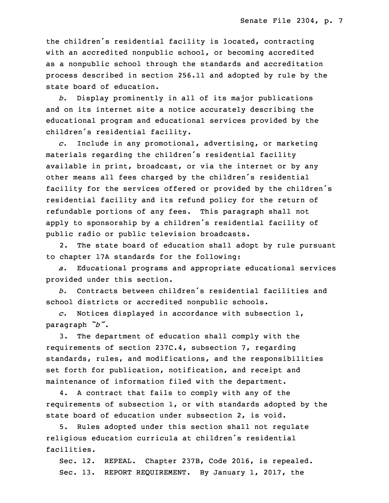the children's residential facility is located, contracting with an accredited nonpublic school, or becoming accredited as <sup>a</sup> nonpublic school through the standards and accreditation process described in section 256.11 and adopted by rule by the state board of education.

*b.* Display prominently in all of its major publications and on its internet site <sup>a</sup> notice accurately describing the educational program and educational services provided by the children's residential facility.

*c.* Include in any promotional, advertising, or marketing materials regarding the children's residential facility available in print, broadcast, or via the internet or by any other means all fees charged by the children's residential facility for the services offered or provided by the children's residential facility and its refund policy for the return of refundable portions of any fees. This paragraph shall not apply to sponsorship by <sup>a</sup> children's residential facility of public radio or public television broadcasts.

2. The state board of education shall adopt by rule pursuant to chapter 17A standards for the following:

*a.* Educational programs and appropriate educational services provided under this section.

*b.* Contracts between children's residential facilities and school districts or accredited nonpublic schools.

*c.* Notices displayed in accordance with subsection 1, paragraph *"b"*.

3. The department of education shall comply with the requirements of section 237C.4, subsection 7, regarding standards, rules, and modifications, and the responsibilities set forth for publication, notification, and receipt and maintenance of information filed with the department.

4. <sup>A</sup> contract that fails to comply with any of the requirements of subsection 1, or with standards adopted by the state board of education under subsection 2, is void.

5. Rules adopted under this section shall not regulate religious education curricula at children's residential facilities.

Sec. 12. REPEAL. Chapter 237B, Code 2016, is repealed. Sec. 13. REPORT REQUIREMENT. By January 1, 2017, the